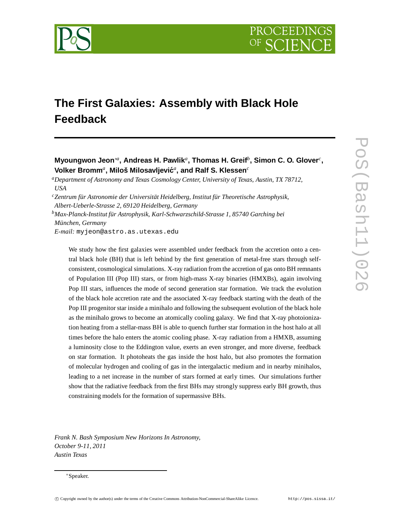

# **The First Galaxies: Assembly with Black Hole Feedback**

**Myoungwon Jeon**∗*<sup>a</sup>* **, Andreas H. Pawlik***<sup>a</sup>* **, Thomas H. Greif***<sup>b</sup>* **, Simon C. O. Glover***<sup>c</sup>* **,**  $\boldsymbol{\mathsf{Volker}}$  Bromm ${}^a$ , Miloš Milosavljević ${}^a$ , and Ralf S. Klessen ${}^c$ 

*<sup>a</sup>Department of Astronomy and Texas Cosmology Center, University of Texas, Austin, TX 78712, USA*

*Albert-Ueberle-Strasse 2, 69120 Heidelberg, Germany*

*<sup>b</sup>Max-Planck-Institut für Astrophysik, Karl-Schwarzschild-Strasse 1, 85740 Garching bei München, Germany*

*E-mail:* myjeon@astro.as.utexas.edu

We study how the first galaxies were assembled under feedback from the accretion onto a central black hole (BH) that is left behind by the first generation of metal-free stars through selfconsistent, cosmological simulations. X-ray radiation from the accretion of gas onto BH remnants of Population III (Pop III) stars, or from high-mass X-ray binaries (HMXBs), again involving Pop III stars, influences the mode of second generation star formation. We track the evolution of the black hole accretion rate and the associated X-ray feedback starting with the death of the Pop III progenitor star inside a minihalo and following the subsequent evolution of the black hole as the minihalo grows to become an atomically cooling galaxy. We find that X-ray photoionization heating from a stellar-mass BH is able to quench further star formation in the host halo at all times before the halo enters the atomic cooling phase. X-ray radiation from a HMXB, assuming a luminosity close to the Eddington value, exerts an even stronger, and more diverse, feedback on star formation. It photoheats the gas inside the host halo, but also promotes the formation of molecular hydrogen and cooling of gas in the intergalactic medium and in nearby minihalos, leading to a net increase in the number of stars formed at early times. Our simulations further show that the radiative feedback from the first BHs may strongly suppress early BH growth, thus constraining models for the formation of supermassive BHs.

*Frank N. Bash Symposium New Horizons In Astronomy, October 9-11, 2011 Austin Texas*

*<sup>c</sup>Zentrum für Astronomie der Universität Heidelberg, Institut für Theoretische Astrophysik,*

<sup>∗</sup>Speaker.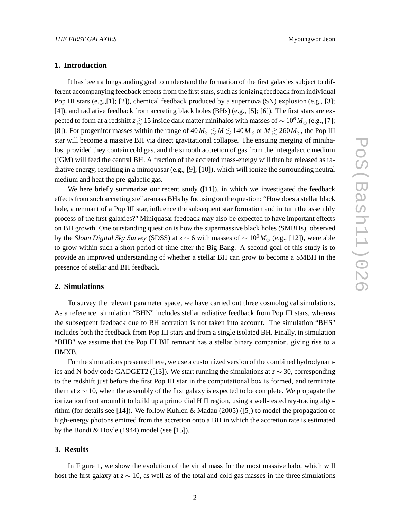## **1. Introduction**

It has been a longstanding goal to understand the formation of the first galaxies subject to different accompanying feedback effects from the first stars, such as ionizing feedback from individual Pop III stars  $(e.g., [1]; [2])$ , chemical feedback produced by a supernova  $(SN)$  explosion  $(e.g., [3];$ [4]), and radiative feedback from accreting black holes (BHs) (e.g., [5]; [6]). The first stars are expected to form at a redshift *z*  $\gtrsim$  15 inside dark matter minihalos with masses of ∼ 10<sup>6</sup> *M*<sub>⊙</sub> (e.g., [7]; [8]). For progenitor masses within the range of  $40 M_{\odot} \lesssim M \lesssim 140 M_{\odot}$  or  $M \gtrsim 260 M_{\odot}$ , the Pop III star will become a massive BH via direct gravitational collapse. The ensuing merging of minihalos, provided they contain cold gas, and the smooth accretion of gas from the intergalactic medium (IGM) will feed the central BH. A fraction of the accreted mass-energy will then be released as radiative energy, resulting in a miniquasar (e.g., [9]; [10]), which will ionize the surrounding neutral medium and heat the pre-galactic gas.

We here briefly summarize our recent study  $([11])$ , in which we investigated the feedback effects from such accreting stellar-mass BHs by focusing on the question: "How does a stellar black hole, a remnant of a Pop III star, influence the subsequent star formation and in turn the assembly process of the first galaxies?" Miniquasar feedback may also be expected to have important effects on BH growth. One outstanding question is how the supermassive black holes (SMBHs), observed by the *Sloan Digital Sky Survey* (SDSS) at *z* ∼ 6 with masses of ∼ 10<sup>9</sup> *M*<sup>⊙</sup> (e.g., [12]), were able to grow within such a short period of time after the Big Bang. A second goal of this study is to provide an improved understanding of whether a stellar BH can grow to become a SMBH in the presence of stellar and BH feedback.

## **2. Simulations**

To survey the relevant parameter space, we have carried out three cosmological simulations. As a reference, simulation "BHN" includes stellar radiative feedback from Pop III stars, whereas the subsequent feedback due to BH accretion is not taken into account. The simulation "BHS" includes both the feedback from Pop III stars and from a single isolated BH. Finally, in simulation "BHB" we assume that the Pop III BH remnant has a stellar binary companion, giving rise to a HMXB.

For the simulations presented here, we use a customized version of the combined hydrodynamics and N-body code GADGET2 ([13]). We start running the simulations at *z* ∼ 30, corresponding to the redshift just before the first Pop III star in the computational box is formed, and terminate them at *z* ∼ 10, when the assembly of the first galaxy is expected to be complete. We propagate the ionization front around it to build up a primordial H II region, using a well-tested ray-tracing algorithm (for details see [14]). We follow Kuhlen & Madau (2005) ([5]) to model the propagation of high-energy photons emitted from the accretion onto a BH in which the accretion rate is estimated by the Bondi & Hoyle (1944) model (see [15]).

#### **3. Results**

In Figure 1, we show the evolution of the virial mass for the most massive halo, which will host the first galaxy at *z* ∼ 10, as well as of the total and cold gas masses in the three simulations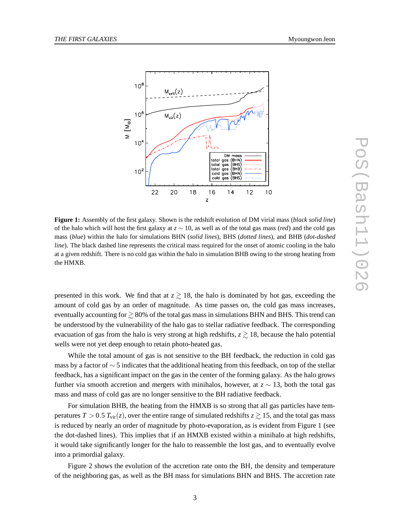

**Figure 1:** Assembly of the first galaxy. Shown is the redshift evolution of DM virial mass (*black solid line*) of the halo which will host the first galaxy at *z* ∼ 10, as well as of the total gas mass (*red*) and the cold gas mass (*blue*) within the halo for simulations BHN (*solid lines*), BHS (*dotted lines*), and BHB (*dot-dashed line*). The black dashed line represents the critical mass required for the onset of atomic cooling in the halo at a given redshift. There is no cold gas within the halo in simulation BHB owing to the strong heating from the HMXB.

presented in this work. We find that at  $z \gtrsim 18$ , the halo is dominated by hot gas, exceeding the amount of cold gas by an order of magnitude. As time passes on, the cold gas mass increases, eventually accounting for  $\gtrsim$  80% of the total gas mass in simulations BHN and BHS. This trend can be understood by the vulnerability of the halo gas to stellar radiative feedback. The corresponding evacuation of gas from the halo is very strong at high redshifts,  $z \gtrsim 18$ , because the halo potential wells were not yet deep enough to retain photo-heated gas.

While the total amount of gas is not sensitive to the BH feedback, the reduction in cold gas mass by a factor of  $\sim$  5 indicates that the additional heating from this feedback, on top of the stellar feedback, has a significant impact on the gas in the center of the forming galaxy. As the halo grows further via smooth accretion and mergers with minihalos, however, at *z* ∼ 13, both the total gas mass and mass of cold gas are no longer sensitive to the BH radiative feedback.

For simulation BHB, the heating from the HMXB is so strong that all gas particles have temperatures  $T > 0.5$   $T_{\text{vir}}(z)$ , over the entire range of simulated redshifts  $z \gtrsim 15$ , and the total gas mass is reduced by nearly an order of magnitude by photo-evaporation, as is evident from Figure 1 (see the dot-dashed lines). This implies that if an HMXB existed within a minihalo at high redshifts, it would take significantly longer for the halo to reassemble the lost gas, and to eventually evolve into a primordial galaxy.

Figure 2 shows the evolution of the accretion rate onto the BH, the density and temperature of the neighboring gas, as well as the BH mass for simulations BHN and BHS. The accretion rate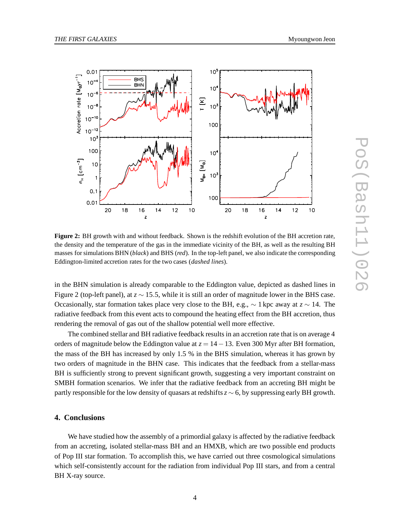

**Figure 2:** BH growth with and without feedback. Shown is the redshift evolution of the BH accretion rate, the density and the temperature of the gas in the immediate vicinity of the BH, as well as the resulting BH masses for simulations BHN (*black*) and BHS (*red*). In the top-left panel, we also indicate the corresponding Eddington-limited accretion rates for the two cases (*dashed lines*).

in the BHN simulation is already comparable to the Eddington value, depicted as dashed lines in Figure 2 (top-left panel), at *z* ∼ 15.5, while it is still an order of magnitude lower in the BHS case. Occasionally, star formation takes place very close to the BH, e.g., ∼ 1 kpc away at *z* ∼ 14. The radiative feedback from this event acts to compound the heating effect from the BH accretion, thus rendering the removal of gas out of the shallow potential well more effective.

The combined stellar and BH radiative feedback results in an accretion rate that is on average 4 orders of magnitude below the Eddington value at  $z = 14-13$ . Even 300 Myr after BH formation, the mass of the BH has increased by only 1.5 % in the BHS simulation, whereas it has grown by two orders of magnitude in the BHN case. This indicates that the feedback from a stellar-mass BH is sufficiently strong to prevent significant growth, suggesting a very important constraint on SMBH formation scenarios. We infer that the radiative feedback from an accreting BH might be partly responsible for the low density of quasars at redshifts*z* ∼ 6, by suppressing early BH growth.

### **4. Conclusions**

We have studied how the assembly of a primordial galaxy is affected by the radiative feedback from an accreting, isolated stellar-mass BH and an HMXB, which are two possible end products of Pop III star formation. To accomplish this, we have carried out three cosmological simulations which self-consistently account for the radiation from individual Pop III stars, and from a central BH X-ray source.